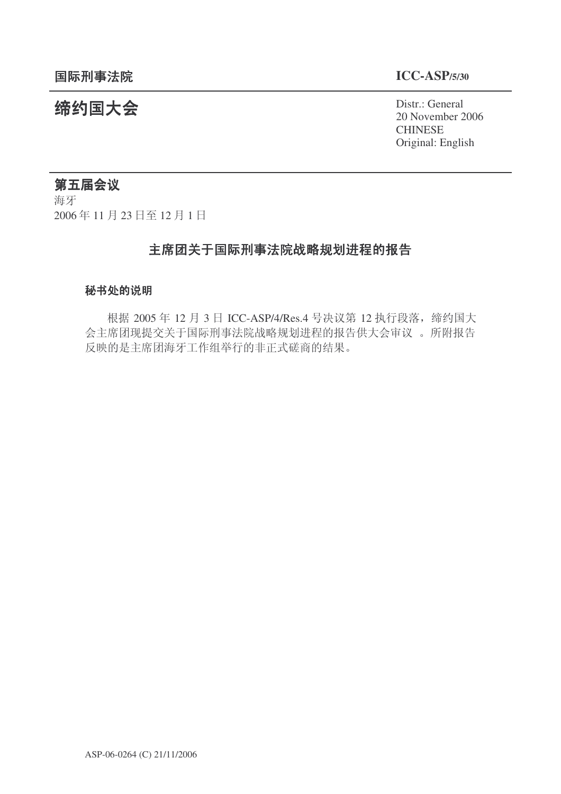统约国大会 Pistra Report of the District General 20 November 2006 **CHINESE** Original: English

# 第五届会议

海牙 2006年11月23日至12月1日

# 主席团关于国际刑事法院战略规划进程的报告

#### 秘书处的说明

根据 2005 年 12 月 3 日 ICC-ASP/4/Res.4 号决议第 12 执行段落, 缔约国大 会主席团现提交关于国际刑事法院战略规划进程的报告供大会审议。所附报告 反映的是主席团海牙工作组举行的非正式磋商的结果。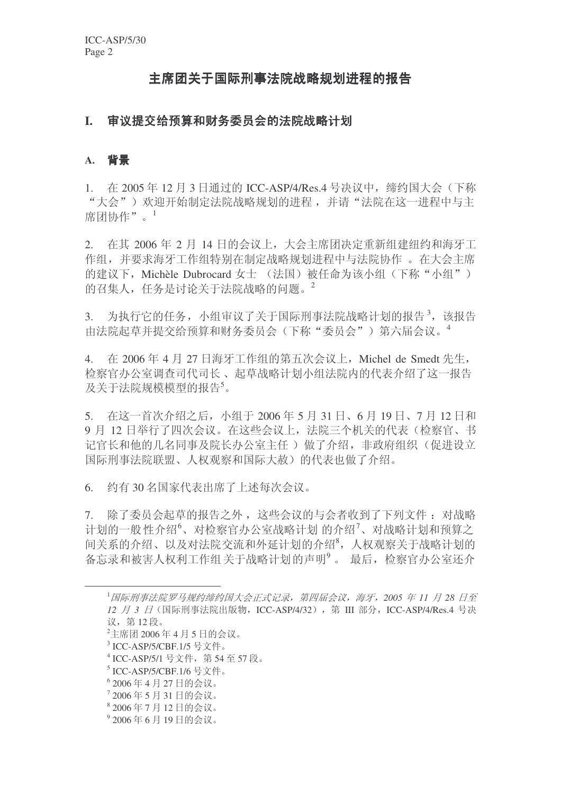# 主席团关于国际刑事法院战略规划进程的报告

# I. 审议提交给预算和财务委员会的法院战略计划

# A. 背景

1. 在 2005年12月3日通过的 ICC-ASP/4/Res.4 号决议中, 缔约国大会(下称 "大会")欢迎开始制定法院战略规划的进程,并请"法院在这一进程中与主 席团协作"。1

 $2.$  在其  $2006$ 年  $2 \text{ H}$  14 日的会议上, 大会主席团决定重新组建纽约和海牙工 作组,并要求海牙工作组特别在制定战略规划进程中与法院协作。在大会主席 的建议下, Michèle Dubrocard 女十 (法国) 被任命为该小组(下称"小组") 的召集人, 任务是讨论关于法院战略的问题。<sup>2</sup>

3. 为执行它的任务, 小组审议了关于国际刑事法院战略计划的报告<sup>3</sup>, 该报告 由法院起草并提交给预算和财务委员会(下称"委员会")第六届会议。<sup>4</sup>

4. 在 2006年4月 27 日海牙工作组的第五次会议上, Michel de Smedt 先生, 检察官办公室调查司代司长、起草战略计划小组法院内的代表介绍了这一报告 及关于法院规模模型的报告5。

5. 在这一首次介绍之后, 小组于 2006年 5 月 31 日、6 月 19 日、7 月 12 日和 9 月 12 日举行了四次会议。在这些会议上, 法院三个机关的代表(检察官、书 记官长和他的几名同事及院长办公室主任)做了介绍,非政府组织(促进设立 国际刑事法院联盟、人权观察和国际大赦)的代表也做了介绍。

6. 约有30名国家代表出席了上述每次会议。

7. 除了委员会起草的报告之外, 这些会议的与会者收到了下列文件: 对战略 计划的一般性介绍<sup>6</sup>、对检察官办公室战略计划的介绍<sup>7</sup>、对战略计划和预算之 间关系的介绍、以及对法院交流和外延计划的介绍<sup>8</sup>, 人权观察关于战略计划的 备忘录和被害人权利工作组关于战略计划的声明<sup>9</sup>。最后,检察官办公室还介

<sup>&</sup>lt;sup>1</sup>国际刑事法院罗马规约缔约国大会正式记录, 第四届会议, 海牙, 2005 年 11 月 28 日至 *12 月 3 日* (国际刑事法院出版物, ICC-ASP/4/32), 第 Ⅲ 部分, ICC-ASP/4/Res.4 号决 议, 第12段。

 $2$ 主席团 2006年4月5日的会议。

 $^3$ ICC-ASP/5/CBF.1/5 号文件。

<sup>&</sup>lt;sup>4</sup> ICC-ASP/5/1 号文件, 第 54 至 57 段。

 $^5$ ICC-ASP/5/CBF.1/6 号文件。

<sup>6 2006</sup>年4月27日的会议。

<sup>7 2006</sup>年5月31日的会议。

<sup>8 2006</sup>年7月12日的会议。

<sup>9 2006</sup>年6月19日的会议。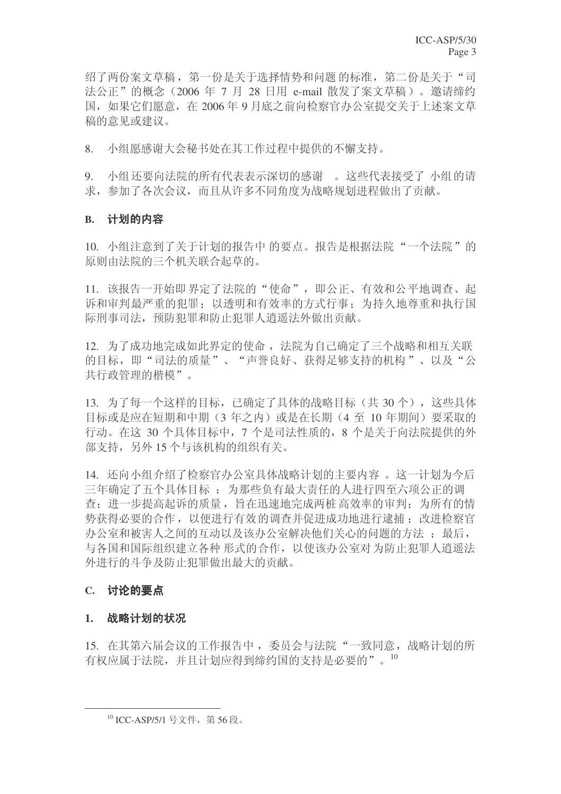绍了两份案文草稿, 第一份是关于选择情势和问题 的标准, 第二份是关于"司 法公正"的概念 (2006 年 7 月 28 日用 e-mail 散发了案文草稿)。邀请缔约 国, 如果它们愿意, 在 2006年 9 月底之前向检察官办公室提交关于上述案文草 稿的意见或建议。

8. 小组愿感谢大会秘书处在其工作过程中提供的不懈支持。

9. 小组还要向法院的所有代表表示深切的感谢。这些代表接受了小组的请 求, 参加了各次会议, 而且从许多不同角度为战略规划进程做出了贡献。

### B. 计划的内容

10. 小组注意到了关于计划的报告中的要点。报告是根据法院"一个法院"的 原则由法院的三个机关联合起草的。

11. 该报告一开始即界定了法院的"使命", 即公正、有效和公平地调查、起 诉和审判最严重的犯罪;以透明和有效率的方式行事;为持久地尊重和执行国 际刑事司法, 预防犯罪和防止犯罪人消遥法外做出贡献。

12. 为了成功地完成如此界定的使命, 法院为自己确定了三个战略和相互关联 的目标,即"司法的质量"、"声誉良好、获得足够支持的机构"、以及"公 共行政管理的楷模"。

13. 为了每一个这样的目标, 已确定了具体的战略目标(共 30 个), 这些具体 目标或是应在短期和中期(3年之内)或是在长期(4至10年期间)要采取的 行动。在这 30 个具体目标中, 7 个是司法性质的, 8 个是关于向法院提供的外 部支持,另外15个与该机构的组织有关。

14. 还向小组介绍了检察官办公室具体战略计划的主要内容。这一计划为今后 三年确定了五个具体目标: 为那些负有最大责任的人进行四至六项公正的调 杳: 讲一步提高起诉的质量, 旨在迅速地完成两桩 高效率的审判: 为所有的情 势获得必要的合作, 以便进行有效的调查并促进成功地进行逮捕: 改进检察官 办公室和被害人之间的互动以及该办公室解决他们关心的问题的方法: 最后, 与各国和国际组织建立各种形式的合作,以使该办公室对为防止犯罪人消遥法 外进行的斗争及防止犯罪做出最大的贡献。

# **C.** 讨论的要点

#### 1. 战略计划的状况

15. 在其第六届会议的工作报告中, 委员会与法院"一致同意, 战略计划的所 有权应属于法院,并且计划应得到缔约国的支持是必要的"。10

<sup>&</sup>lt;sup>10</sup> ICC-ASP/5/1 号文件, 第56段。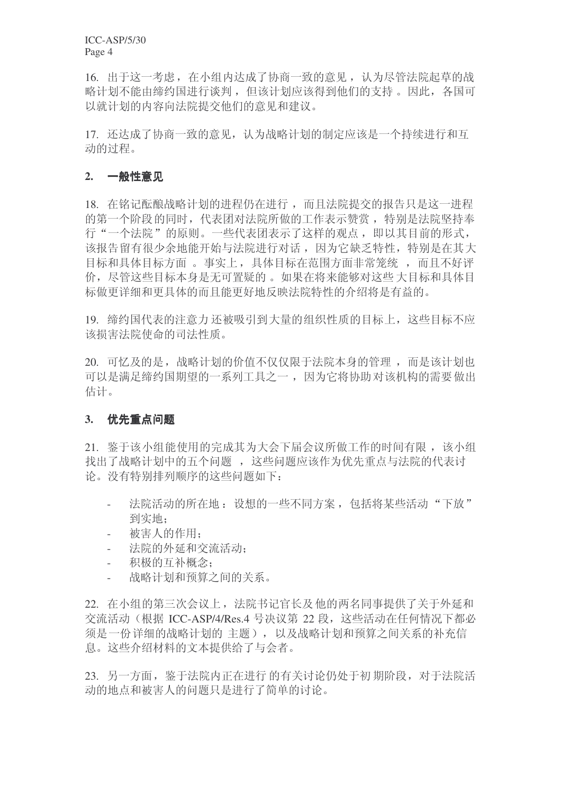ICC-ASP/5/30 Page 4

16. 出于这一考虑, 在小组内达成了协商一致的意见, 认为尽管法院起草的战 略计划不能由缔约国进行谈判, 但该计划应该得到他们的支持。因此, 各国可 以就计划的内容向法院提交他们的意见和建议。

17. 还达成了协商一致的意见, 认为战略计划的制定应该是一个持续进行和互 动的过程。

#### 2. 一般性意见

18. 在铭记酝酿战略计划的进程仍在进行,而且法院提交的报告只是这一进程 的第一个阶段的同时, 代表团对法院所做的工作表示赞赏, 特别是法院坚持奉 行"一个法院"的原则。一些代表团表示了这样的观点,即以其目前的形式, 该报告留有很少余地能开始与法院进行对话,因为它缺乏特性,特别是在其大 目标和具体目标方面。事实上, 具体目标在范围方面非常笼统, 而且不好评 价, 尽管这些目标本身是无可置疑的。如果在将来能够对这些大目标和具体目 标做更详细和更具体的而且能更好地反映法院特性的介绍将是有益的。

19. 缔约国代表的注意力还被吸引到大量的组织性质的目标上, 这些目标不应 该损害法院使命的司法性质。

20. 可忆及的是, 战略计划的价值不仅仅限于法院本身的管理, 而是该计划也 可以是满足缔约国期望的一系列工具之一,因为它将协助对该机构的需要做出 估计。

#### 3. 优先重点问题

21. 鉴于该小组能使用的完成其为大会下届会议所做工作的时间有限, 该小组 找出了战略计划中的五个问题, 这些问题应该作为优先重点与法院的代表讨 论。没有特别排列顺序的这些问题如下:

- 法院活动的所在地: 设想的一些不同方案, 包括将某些活动"下放" 到实地:
- 被害人的作用:
- 法院的外延和交流活动:
- 积极的互补概念:
- 战略计划和预算之间的关系。

22. 在小组的第三次会议上, 法院书记官长及他的两名同事提供了关于外延和 交流活动(根据 ICC-ASP/4/Res.4 号决议第 22 段, 这些活动在任何情况下都必 须是一份详细的战略计划的主题), 以及战略计划和预算之间关系的补充信 息。这些介绍材料的文本提供给了与会者。

23. 另一方面, 鉴于法院内正在进行的有关讨论仍处于初期阶段, 对于法院活 动的地点和被害人的问题只是讲行了简单的讨论。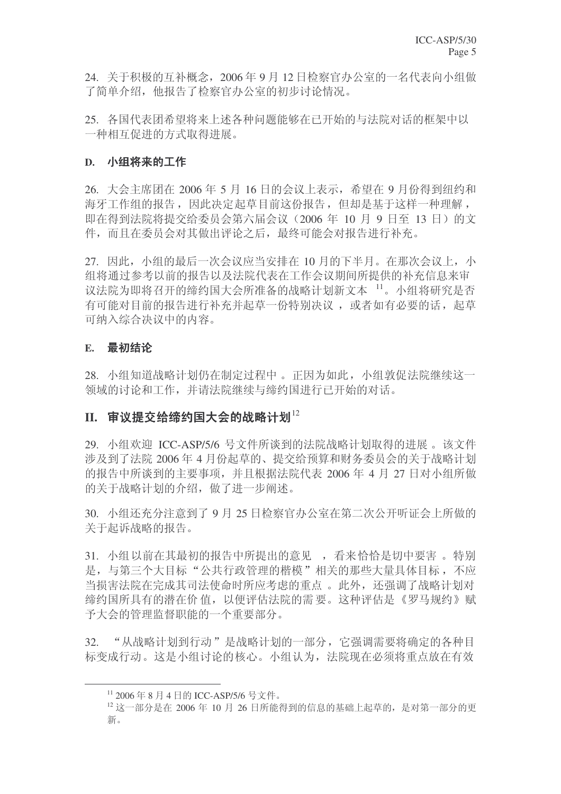24. 关于积极的互补概念, 2006年9月12日检察官办公室的一名代表向小组做 了简单介绍,他报告了检察官办公室的初步讨论情况。

25. 各国代表团希望将来上述各种问题能够在己开始的与法院对话的框架中以 一种相互促讲的方式取得讲展。

# D. 小组将来的工作

26. 大会主席团在 2006 年 5 月 16 日的会议上表示, 希望在 9 月份得到纽约和 海牙工作组的报告, 因此决定起草目前这份报告, 但却是基于这样一种理解, 即在得到法院将提交给委员会第六届会议 (2006 年 10 月 9 日至 13 日) 的文 件,而且在委员会对其做出评论之后,最终可能会对报告讲行补充。

27. 因此, 小组的最后一次会议应当安排在 10 月的下半月。在那次会议上, 小 组将通过参考以前的报告以及法院代表在工作会议期间所提供的补充信息来审 议法院为即将召开的缔约国大会所准备的战略计划新文本 11。小组将研究是否 有可能对目前的报告进行补充并起草一份特别决议, 或者如有必要的话, 起草 可纳入综合决议中的内容。

# **E.** 最初结论

28. 小组知道战略计划仍在制定过程中。正因为如此, 小组敦促法院继续这一 领域的讨论和工作, 并请法院继续与缔约国进行已开始的对话。

# II. 审议提交给缔约国大会的战略计划<sup>12</sup>

29. 小组欢迎 ICC-ASP/5/6 号文件所谈到的法院战略计划取得的进展。该文件 涉及到了法院 2006年4月份起草的、提交给预算和财务委员会的关于战略计划 的报告中所谈到的主要事项,并且根据法院代表 2006 年 4 月 27 日对小组所做 的关于战略计划的介绍, 做了进一步阐述。

30. 小组还充分注意到了 9 月 25 日检察官办公室在第二次公开听证会上所做的 关于起诉战略的报告。

31. 小组以前在其最初的报告中所提出的意见, 看来恰恰是切中要害。特别 是, 与第三个大目标"公共行政管理的楷模"相关的那些大量具体目标, 不应 当损害法院在完成基司法使命时所应考虑的重点。此外, 还强调了战略计划对 缔约国所具有的潜在价值,以便评估法院的需要。这种评估是《罗马规约》赋 予大会的管理监督职能的一个重要部分。

32. "从战略计划到行动"是战略计划的一部分,它强调需要将确定的各种目 标变成行动。这是小组讨论的核心。小组认为, 法院现在必须将重点放在有效

<sup>&</sup>lt;sup>11</sup> 2006年8月4日的 ICC-ASP/5/6 号文件。

 $^{12}$  这一部分是在 2006 年 10 月 26 日所能得到的信息的基础上起草的, 是对第一部分的更 新。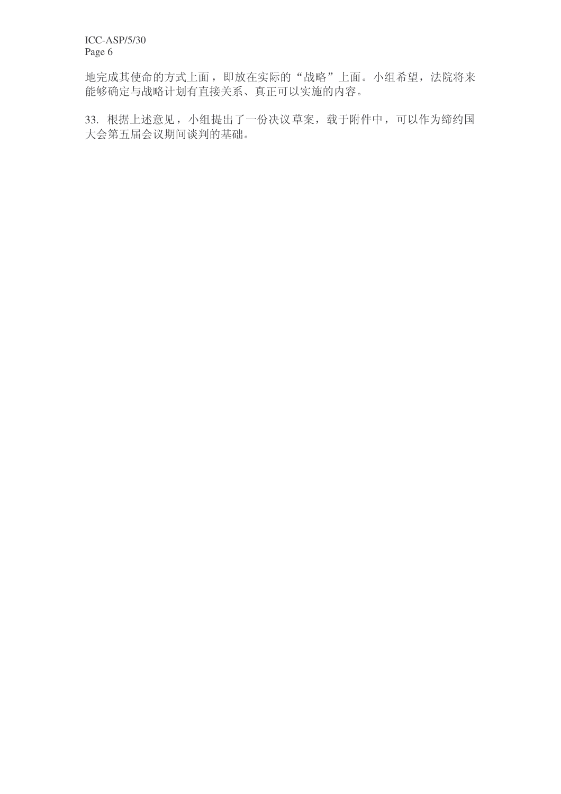ICC-ASP/5/30 Page 6

地完成其使命的方式上面, 即放在实际的"战略"上面。小组希望, 法院将来 能够确定与战略计划有直接关系、真正可以实施的内容。

33. 根据上述意见, 小组提出了一份决议草案, 载于附件中, 可以作为缔约国 大会第五届会议期间谈判的基础。